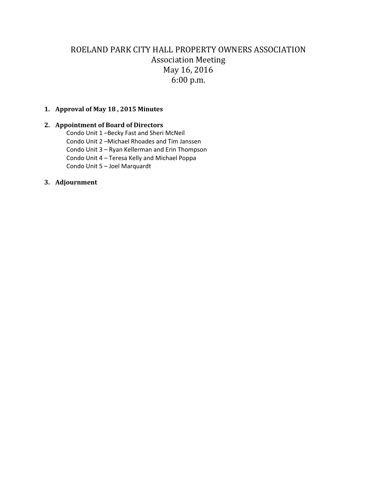# ROELAND PARK CITY HALL PROPERTY OWNERS ASSOCIATION Association Meeting May 16, 2016 6:00 p.m.

### **1. Approval of May 18 , 2015 Minutes**

### **2. Appointment of Board of Directors**

Condo Unit 1 –Becky Fast and Sheri McNeil Condo Unit 2 –Michael Rhoades and Tim Janssen Condo Unit 3 – Ryan Kellerman and Erin Thompson Condo Unit 4 – Teresa Kelly and Michael Poppa Condo Unit 5 – Joel Marquardt

#### **3. Adjournment**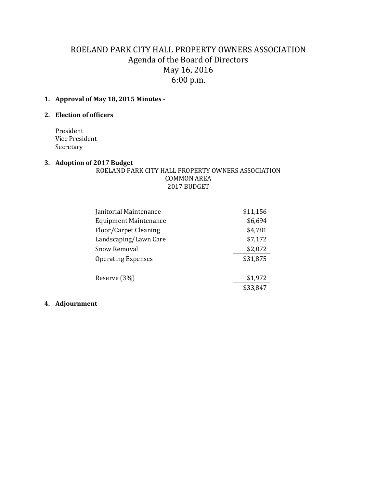# ROELAND PARK CITY HALL PROPERTY OWNERS ASSOCIATION Agenda of the Board of Directors May 16, 2016 6:00 p.m.

# **1. Approval of May 18, 2015 Minutes -**

## **2. Election of officers**

President Vice President Secretary

### **3. Adoption of 2017 Budget**

### ROELAND PARK CITY HALL PROPERTY OWNERS ASSOCIATION COMMON AREA 2017 BUDGET

| Janitorial Maintenance       | \$11,156 |
|------------------------------|----------|
| <b>Equipment Maintenance</b> | \$6,694  |
| Floor/Carpet Cleaning        | \$4,781  |
| Landscaping/Lawn Care        | \$7,172  |
| Snow Removal                 | \$2,072  |
| <b>Operating Expenses</b>    | \$31,875 |
| Reserve (3%)                 | \$1,972  |
|                              | \$33,847 |
|                              |          |

# **4. Adjournment**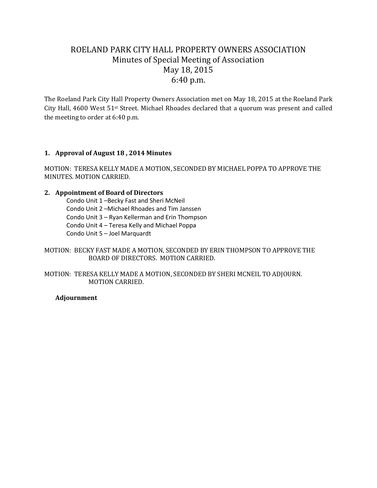# ROELAND PARK CITY HALL PROPERTY OWNERS ASSOCIATION Minutes of Special Meeting of Association May 18, 2015 6:40 p.m.

The Roeland Park City Hall Property Owners Association met on May 18, 2015 at the Roeland Park City Hall, 4600 West 51st Street. Michael Rhoades declared that a quorum was present and called the meeting to order at 6:40 p.m.

## **1. Approval of August 18 , 2014 Minutes**

MOTION: TERESA KELLY MADE A MOTION, SECONDED BY MICHAEL POPPA TO APPROVE THE MINUTES. MOTION CARRIED.

#### **2. Appointment of Board of Directors**

Condo Unit 1 –Becky Fast and Sheri McNeil Condo Unit 2 –Michael Rhoades and Tim Janssen Condo Unit 3 – Ryan Kellerman and Erin Thompson Condo Unit 4 – Teresa Kelly and Michael Poppa Condo Unit 5 – Joel Marquardt

MOTION: BECKY FAST MADE A MOTION, SECONDED BY ERIN THOMPSON TO APPROVE THE BOARD OF DIRECTORS. MOTION CARRIED.

MOTION: TERESA KELLY MADE A MOTION, SECONDED BY SHERI MCNEIL TO ADJOURN. MOTION CARRIED.

#### **Adjournment**